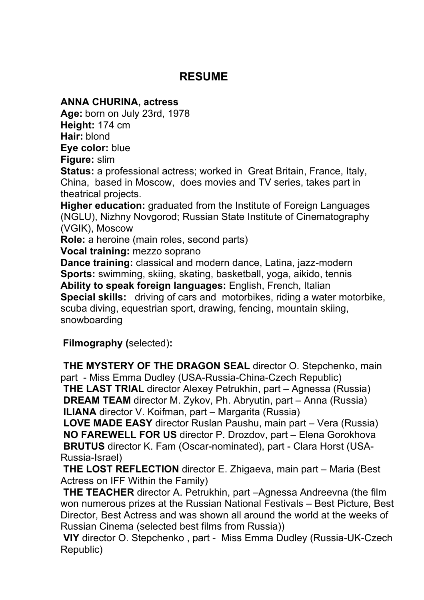## **RESUME**

## **ANNA CHURINA, actress**

**Age:** born on July 23rd, 1978 **Height:** 174 cm **Hair:** blond **Eye color:** blue

**Figure:** slim

**Status:** a professional actress; worked in Great Britain, France, Italy, China, based in Moscow, does movies and TV series, takes part in theatrical projects.

**Higher education:** graduated from the Institute of Foreign Languages (NGLU), Nizhny Novgorod; Russian State Institute of Cinematography (VGIK), Moscow

**Role:** a heroine (main roles, second parts)

**Vocal training:** mezzo soprano

**Dance training:** classical and modern dance, Latina, jazz-modern **Sports:** swimming, skiing, skating, basketball, yoga, aikido, tennis **Ability to speak foreign languages:** English, French, Italian **Special skills:** driving of cars and motorbikes, riding a water motorbike, scuba diving, equestrian sport, drawing, fencing, mountain skiing, snowboarding

**Filmography (**selected)**:**

**THE MYSTERY OF THE DRAGON SEAL** director O. Stepchenko, main part - Miss Emma Dudley (USA-Russia-China-Czech Republic) **THE LAST TRIAL** director Alexey Petrukhin, part – Agnessa (Russia) **DREAM TEAM** director M. Zykov, Ph. Abryutin, part – Anna (Russia)

**ILIANA** director V. Koifman, part – Margarita (Russia)

**LOVE MADE EASY** director Ruslan Paushu, main part – Vera (Russia) **NO FAREWELL FOR US** director P. Drozdov, part – Elena Gorokhova **BRUTUS** director K. Fam (Oscar-nominated), part - Clara Horst (USA-Russia-Israel)

**THE LOST REFLECTION** director E. Zhigaeva, main part – Maria (Best Actress on IFF Within the Family)

**THE TEACHER** director A. Petrukhin, part –Agnessa Andreevna (the film won numerous prizes at the Russian National Festivals – Best Picture, Best Director, Best Actress and was shown all around the world at the weeks of Russian Cinema (selected best films from Russia))

**VIY** director O. Stepchenko , part - Miss Emma Dudley (Russia-UK-Czech Republic)